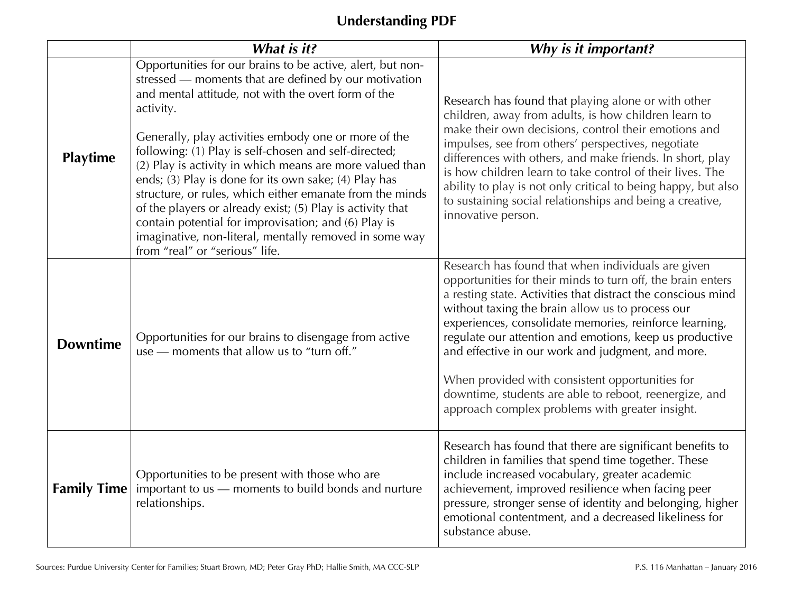# **Understanding PDF**

|                    | What is it?                                                                                                                                                                                                                                                                                                                                                                                                                                                                                                                                                                                                                                                                                                 | Why is it important?                                                                                                                                                                                                                                                                                                                                                                                                                                                                                                                                                            |
|--------------------|-------------------------------------------------------------------------------------------------------------------------------------------------------------------------------------------------------------------------------------------------------------------------------------------------------------------------------------------------------------------------------------------------------------------------------------------------------------------------------------------------------------------------------------------------------------------------------------------------------------------------------------------------------------------------------------------------------------|---------------------------------------------------------------------------------------------------------------------------------------------------------------------------------------------------------------------------------------------------------------------------------------------------------------------------------------------------------------------------------------------------------------------------------------------------------------------------------------------------------------------------------------------------------------------------------|
| Playtime           | Opportunities for our brains to be active, alert, but non-<br>stressed - moments that are defined by our motivation<br>and mental attitude, not with the overt form of the<br>activity.<br>Generally, play activities embody one or more of the<br>following: (1) Play is self-chosen and self-directed;<br>(2) Play is activity in which means are more valued than<br>ends; (3) Play is done for its own sake; (4) Play has<br>structure, or rules, which either emanate from the minds<br>of the players or already exist; (5) Play is activity that<br>contain potential for improvisation; and (6) Play is<br>imaginative, non-literal, mentally removed in some way<br>from "real" or "serious" life. | Research has found that playing alone or with other<br>children, away from adults, is how children learn to<br>make their own decisions, control their emotions and<br>impulses, see from others' perspectives, negotiate<br>differences with others, and make friends. In short, play<br>is how children learn to take control of their lives. The<br>ability to play is not only critical to being happy, but also<br>to sustaining social relationships and being a creative,<br>innovative person.                                                                          |
| <b>Downtime</b>    | Opportunities for our brains to disengage from active<br>use - moments that allow us to "turn off."                                                                                                                                                                                                                                                                                                                                                                                                                                                                                                                                                                                                         | Research has found that when individuals are given<br>opportunities for their minds to turn off, the brain enters<br>a resting state. Activities that distract the conscious mind<br>without taxing the brain allow us to process our<br>experiences, consolidate memories, reinforce learning,<br>regulate our attention and emotions, keep us productive<br>and effective in our work and judgment, and more.<br>When provided with consistent opportunities for<br>downtime, students are able to reboot, reenergize, and<br>approach complex problems with greater insight. |
| <b>Family Time</b> | Opportunities to be present with those who are<br>important to us - moments to build bonds and nurture<br>relationships.                                                                                                                                                                                                                                                                                                                                                                                                                                                                                                                                                                                    | Research has found that there are significant benefits to<br>children in families that spend time together. These<br>include increased vocabulary, greater academic<br>achievement, improved resilience when facing peer<br>pressure, stronger sense of identity and belonging, higher<br>emotional contentment, and a decreased likeliness for<br>substance abuse.                                                                                                                                                                                                             |